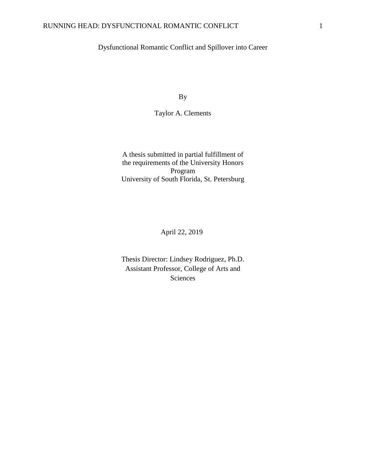# Dysfunctional Romantic Conflict and Spillover into Career

By

Taylor A. Clements

A thesis submitted in partial fulfillment of the requirements of the University Honors Program University of South Florida, St. Petersburg

April 22, 2019

Thesis Director: Lindsey Rodriguez, Ph.D. Assistant Professor, College of Arts and Sciences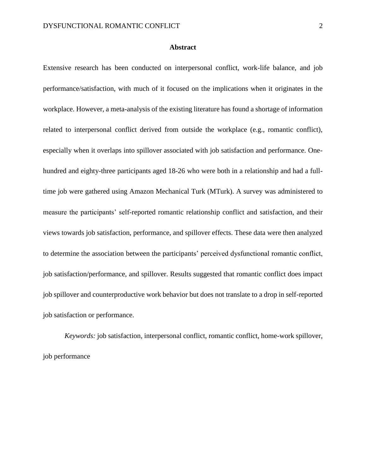#### **Abstract**

Extensive research has been conducted on interpersonal conflict, work-life balance, and job performance/satisfaction, with much of it focused on the implications when it originates in the workplace. However, a meta-analysis of the existing literature has found a shortage of information related to interpersonal conflict derived from outside the workplace (e.g., romantic conflict), especially when it overlaps into spillover associated with job satisfaction and performance. Onehundred and eighty-three participants aged 18-26 who were both in a relationship and had a fulltime job were gathered using Amazon Mechanical Turk (MTurk). A survey was administered to measure the participants' self-reported romantic relationship conflict and satisfaction, and their views towards job satisfaction, performance, and spillover effects. These data were then analyzed to determine the association between the participants' perceived dysfunctional romantic conflict, job satisfaction/performance, and spillover. Results suggested that romantic conflict does impact job spillover and counterproductive work behavior but does not translate to a drop in self-reported job satisfaction or performance.

*Keywords:* job satisfaction, interpersonal conflict, romantic conflict, home-work spillover, job performance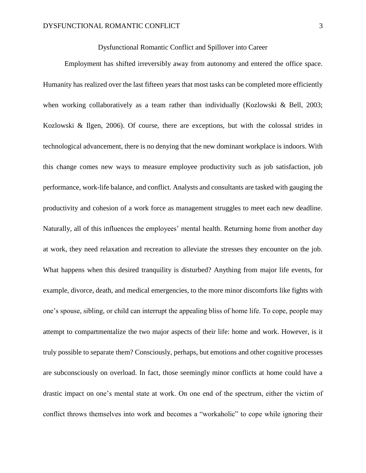#### Dysfunctional Romantic Conflict and Spillover into Career

Employment has shifted irreversibly away from autonomy and entered the office space. Humanity has realized over the last fifteen years that most tasks can be completed more efficiently when working collaboratively as a team rather than individually (Kozlowski & Bell, 2003; Kozlowski & Ilgen, 2006). Of course, there are exceptions, but with the colossal strides in technological advancement, there is no denying that the new dominant workplace is indoors. With this change comes new ways to measure employee productivity such as job satisfaction, job performance, work-life balance, and conflict. Analysts and consultants are tasked with gauging the productivity and cohesion of a work force as management struggles to meet each new deadline. Naturally, all of this influences the employees' mental health. Returning home from another day at work, they need relaxation and recreation to alleviate the stresses they encounter on the job. What happens when this desired tranquility is disturbed? Anything from major life events, for example, divorce, death, and medical emergencies, to the more minor discomforts like fights with one's spouse, sibling, or child can interrupt the appealing bliss of home life. To cope, people may attempt to compartmentalize the two major aspects of their life: home and work. However, is it truly possible to separate them? Consciously, perhaps, but emotions and other cognitive processes are subconsciously on overload. In fact, those seemingly minor conflicts at home could have a drastic impact on one's mental state at work. On one end of the spectrum, either the victim of conflict throws themselves into work and becomes a "workaholic" to cope while ignoring their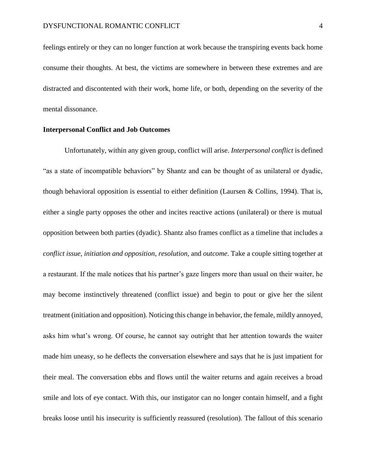feelings entirely or they can no longer function at work because the transpiring events back home consume their thoughts. At best, the victims are somewhere in between these extremes and are distracted and discontented with their work, home life, or both, depending on the severity of the mental dissonance.

### **Interpersonal Conflict and Job Outcomes**

Unfortunately, within any given group, conflict will arise. *Interpersonal conflict* is defined "as a state of incompatible behaviors" by Shantz and can be thought of as unilateral or dyadic, though behavioral opposition is essential to either definition (Laursen & Collins, 1994). That is, either a single party opposes the other and incites reactive actions (unilateral) or there is mutual opposition between both parties (dyadic). Shantz also frames conflict as a timeline that includes a *conflict issue*, *initiation and opposition*, *resolution*, and *outcome*. Take a couple sitting together at a restaurant. If the male notices that his partner's gaze lingers more than usual on their waiter, he may become instinctively threatened (conflict issue) and begin to pout or give her the silent treatment (initiation and opposition). Noticing this change in behavior, the female, mildly annoyed, asks him what's wrong. Of course, he cannot say outright that her attention towards the waiter made him uneasy, so he deflects the conversation elsewhere and says that he is just impatient for their meal. The conversation ebbs and flows until the waiter returns and again receives a broad smile and lots of eye contact. With this, our instigator can no longer contain himself, and a fight breaks loose until his insecurity is sufficiently reassured (resolution). The fallout of this scenario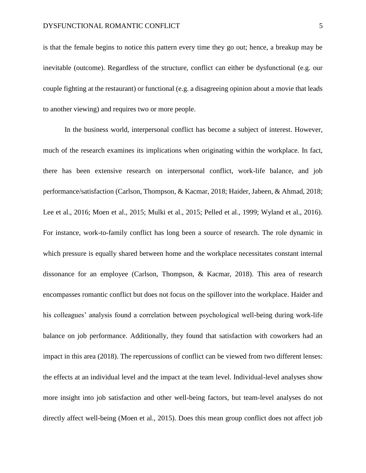is that the female begins to notice this pattern every time they go out; hence, a breakup may be inevitable (outcome). Regardless of the structure, conflict can either be dysfunctional (e.g. our couple fighting at the restaurant) or functional (e.g. a disagreeing opinion about a movie that leads to another viewing) and requires two or more people.

In the business world, interpersonal conflict has become a subject of interest. However, much of the research examines its implications when originating within the workplace. In fact, there has been extensive research on interpersonal conflict, work-life balance, and job performance/satisfaction (Carlson, Thompson, & Kacmar, 2018; Haider, Jabeen, & Ahmad, 2018; Lee et al., 2016; Moen et al., 2015; Mulki et al., 2015; Pelled et al., 1999; Wyland et al., 2016). For instance, work-to-family conflict has long been a source of research. The role dynamic in which pressure is equally shared between home and the workplace necessitates constant internal dissonance for an employee (Carlson, Thompson, & Kacmar, 2018). This area of research encompasses romantic conflict but does not focus on the spillover into the workplace. Haider and his colleagues' analysis found a correlation between psychological well-being during work-life balance on job performance. Additionally, they found that satisfaction with coworkers had an impact in this area (2018). The repercussions of conflict can be viewed from two different lenses: the effects at an individual level and the impact at the team level. Individual-level analyses show more insight into job satisfaction and other well-being factors, but team-level analyses do not directly affect well-being (Moen et al., 2015). Does this mean group conflict does not affect job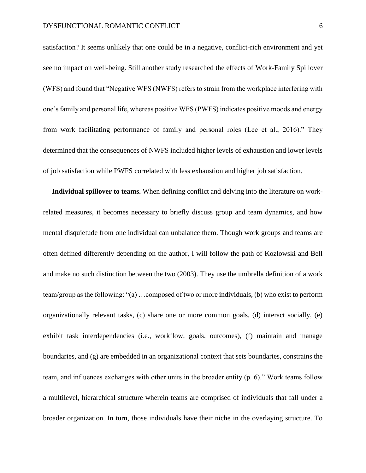satisfaction? It seems unlikely that one could be in a negative, conflict-rich environment and yet see no impact on well-being. Still another study researched the effects of Work-Family Spillover (WFS) and found that "Negative WFS (NWFS) refers to strain from the workplace interfering with one's family and personal life, whereas positive WFS (PWFS) indicates positive moods and energy from work facilitating performance of family and personal roles (Lee et al., 2016)." They determined that the consequences of NWFS included higher levels of exhaustion and lower levels of job satisfaction while PWFS correlated with less exhaustion and higher job satisfaction.

 **Individual spillover to teams.** When defining conflict and delving into the literature on workrelated measures, it becomes necessary to briefly discuss group and team dynamics, and how mental disquietude from one individual can unbalance them. Though work groups and teams are often defined differently depending on the author, I will follow the path of Kozlowski and Bell and make no such distinction between the two (2003). They use the umbrella definition of a work team/group as the following: "(a) …composed of two or more individuals, (b) who exist to perform organizationally relevant tasks, (c) share one or more common goals, (d) interact socially, (e) exhibit task interdependencies (i.e., workflow, goals, outcomes), (f) maintain and manage boundaries, and (g) are embedded in an organizational context that sets boundaries, constrains the team, and influences exchanges with other units in the broader entity (p. 6)." Work teams follow a multilevel, hierarchical structure wherein teams are comprised of individuals that fall under a broader organization. In turn, those individuals have their niche in the overlaying structure. To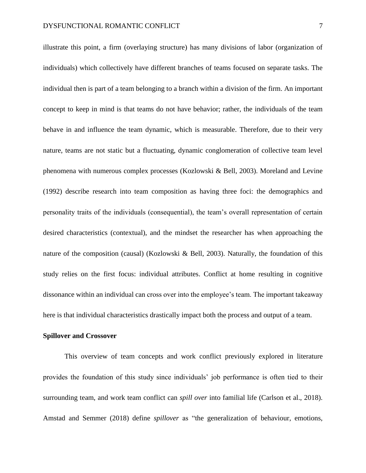illustrate this point, a firm (overlaying structure) has many divisions of labor (organization of individuals) which collectively have different branches of teams focused on separate tasks. The individual then is part of a team belonging to a branch within a division of the firm. An important concept to keep in mind is that teams do not have behavior; rather, the individuals of the team behave in and influence the team dynamic, which is measurable. Therefore, due to their very nature, teams are not static but a fluctuating, dynamic conglomeration of collective team level phenomena with numerous complex processes (Kozlowski & Bell, 2003). Moreland and Levine (1992) describe research into team composition as having three foci: the demographics and personality traits of the individuals (consequential), the team's overall representation of certain desired characteristics (contextual), and the mindset the researcher has when approaching the nature of the composition (causal) (Kozlowski & Bell, 2003). Naturally, the foundation of this study relies on the first focus: individual attributes. Conflict at home resulting in cognitive dissonance within an individual can cross over into the employee's team. The important takeaway here is that individual characteristics drastically impact both the process and output of a team.

#### **Spillover and Crossover**

This overview of team concepts and work conflict previously explored in literature provides the foundation of this study since individuals' job performance is often tied to their surrounding team, and work team conflict can *spill over* into familial life (Carlson et al., 2018). Amstad and Semmer (2018) define *spillover* as "the generalization of behaviour, emotions,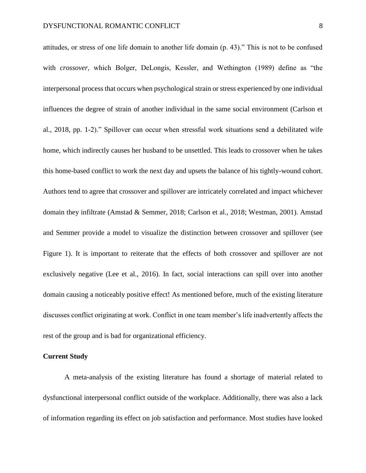attitudes, or stress of one life domain to another life domain (p. 43)." This is not to be confused with *crossover*, which Bolger, DeLongis, Kessler, and Wethington (1989) define as "the interpersonal process that occurs when psychological strain or stress experienced by one individual influences the degree of strain of another individual in the same social environment (Carlson et al., 2018, pp. 1-2)." Spillover can occur when stressful work situations send a debilitated wife home, which indirectly causes her husband to be unsettled. This leads to crossover when he takes this home-based conflict to work the next day and upsets the balance of his tightly-wound cohort. Authors tend to agree that crossover and spillover are intricately correlated and impact whichever domain they infiltrate (Amstad & Semmer, 2018; Carlson et al., 2018; Westman, 2001). Amstad and Semmer provide a model to visualize the distinction between crossover and spillover (see Figure 1). It is important to reiterate that the effects of both crossover and spillover are not exclusively negative (Lee et al., 2016). In fact, social interactions can spill over into another domain causing a noticeably positive effect! As mentioned before, much of the existing literature discusses conflict originating at work. Conflict in one team member's life inadvertently affects the rest of the group and is bad for organizational efficiency.

### **Current Study**

A meta-analysis of the existing literature has found a shortage of material related to dysfunctional interpersonal conflict outside of the workplace. Additionally, there was also a lack of information regarding its effect on job satisfaction and performance. Most studies have looked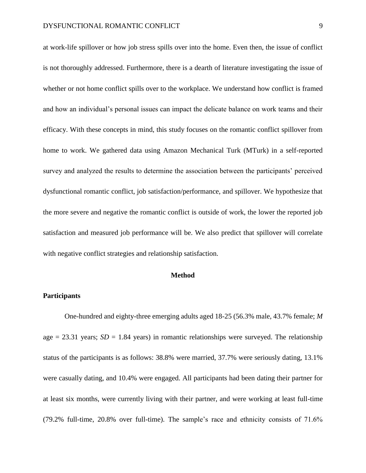at work-life spillover or how job stress spills over into the home. Even then, the issue of conflict is not thoroughly addressed. Furthermore, there is a dearth of literature investigating the issue of whether or not home conflict spills over to the workplace. We understand how conflict is framed and how an individual's personal issues can impact the delicate balance on work teams and their efficacy. With these concepts in mind, this study focuses on the romantic conflict spillover from home to work. We gathered data using Amazon Mechanical Turk (MTurk) in a self-reported survey and analyzed the results to determine the association between the participants' perceived dysfunctional romantic conflict, job satisfaction/performance, and spillover. We hypothesize that the more severe and negative the romantic conflict is outside of work, the lower the reported job satisfaction and measured job performance will be. We also predict that spillover will correlate with negative conflict strategies and relationship satisfaction.

#### **Method**

### **Participants**

One-hundred and eighty-three emerging adults aged 18-25 (56.3% male, 43.7% female; *M* age  $= 23.31$  years; *SD*  $= 1.84$  years) in romantic relationships were surveyed. The relationship status of the participants is as follows: 38.8% were married, 37.7% were seriously dating, 13.1% were casually dating, and 10.4% were engaged. All participants had been dating their partner for at least six months, were currently living with their partner, and were working at least full-time (79.2% full-time, 20.8% over full-time). The sample's race and ethnicity consists of 71.6%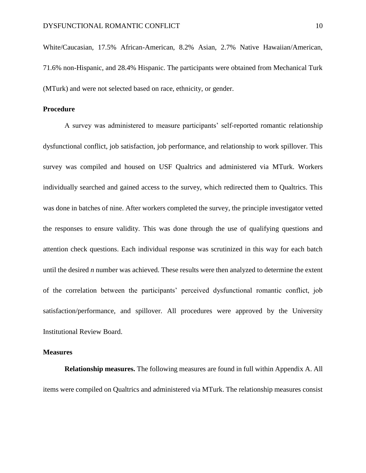White/Caucasian, 17.5% African-American, 8.2% Asian, 2.7% Native Hawaiian/American, 71.6% non-Hispanic, and 28.4% Hispanic. The participants were obtained from Mechanical Turk (MTurk) and were not selected based on race, ethnicity, or gender.

#### **Procedure**

A survey was administered to measure participants' self-reported romantic relationship dysfunctional conflict, job satisfaction, job performance, and relationship to work spillover. This survey was compiled and housed on USF Qualtrics and administered via MTurk. Workers individually searched and gained access to the survey, which redirected them to Qualtrics. This was done in batches of nine. After workers completed the survey, the principle investigator vetted the responses to ensure validity. This was done through the use of qualifying questions and attention check questions. Each individual response was scrutinized in this way for each batch until the desired *n* number was achieved. These results were then analyzed to determine the extent of the correlation between the participants' perceived dysfunctional romantic conflict, job satisfaction/performance, and spillover. All procedures were approved by the University Institutional Review Board.

### **Measures**

**Relationship measures.** The following measures are found in full within Appendix A. All items were compiled on Qualtrics and administered via MTurk. The relationship measures consist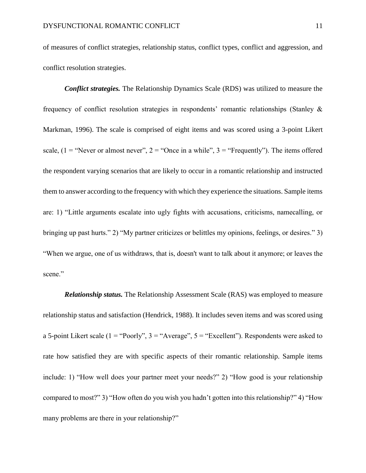of measures of conflict strategies, relationship status, conflict types, conflict and aggression, and conflict resolution strategies.

*Conflict strategies.* The Relationship Dynamics Scale (RDS) was utilized to measure the frequency of conflict resolution strategies in respondents' romantic relationships (Stanley & Markman, 1996). The scale is comprised of eight items and was scored using a 3-point Likert scale,  $(1 = "Never or almost never", 2 = "Once in a while", 3 = "Frequently").$  The items offered the respondent varying scenarios that are likely to occur in a romantic relationship and instructed them to answer according to the frequency with which they experience the situations. Sample items are: 1) "Little arguments escalate into ugly fights with accusations, criticisms, namecalling, or bringing up past hurts." 2) "My partner criticizes or belittles my opinions, feelings, or desires." 3) "When we argue, one of us withdraws, that is, doesn't want to talk about it anymore; or leaves the scene."

*Relationship status.* The Relationship Assessment Scale (RAS) was employed to measure relationship status and satisfaction (Hendrick, 1988). It includes seven items and was scored using a 5-point Likert scale (1 = "Poorly",  $3 =$  "Average",  $5 =$  "Excellent"). Respondents were asked to rate how satisfied they are with specific aspects of their romantic relationship. Sample items include: 1) "How well does your partner meet your needs?" 2) "How good is your relationship compared to most?" 3) "How often do you wish you hadn't gotten into this relationship?" 4) "How many problems are there in your relationship?"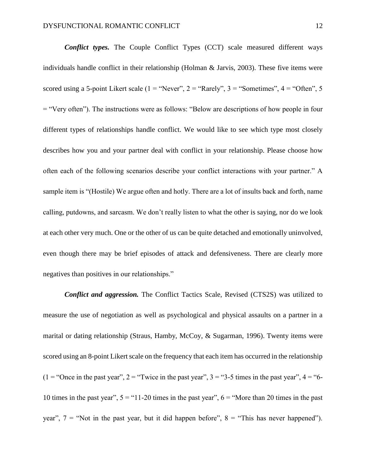*Conflict types.* The Couple Conflict Types (CCT) scale measured different ways individuals handle conflict in their relationship (Holman & Jarvis, 2003). These five items were scored using a 5-point Likert scale ( $1 =$  "Never",  $2 =$  "Rarely",  $3 =$  "Sometimes",  $4 =$  "Often",  $5 =$ = "Very often"). The instructions were as follows: "Below are descriptions of how people in four different types of relationships handle conflict. We would like to see which type most closely describes how you and your partner deal with conflict in your relationship. Please choose how often each of the following scenarios describe your conflict interactions with your partner." A sample item is "(Hostile) We argue often and hotly. There are a lot of insults back and forth, name calling, putdowns, and sarcasm. We don't really listen to what the other is saying, nor do we look at each other very much. One or the other of us can be quite detached and emotionally uninvolved, even though there may be brief episodes of attack and defensiveness. There are clearly more negatives than positives in our relationships."

*Conflict and aggression.* The Conflict Tactics Scale, Revised (CTS2S) was utilized to measure the use of negotiation as well as psychological and physical assaults on a partner in a marital or dating relationship (Straus, Hamby, McCoy, & Sugarman, 1996). Twenty items were scored using an 8-point Likert scale on the frequency that each item has occurred in the relationship  $(1 = "Once in the past year", 2 = "Twice in the past year", 3 = "3-5 times in the past year", 4 = "6-$ 10 times in the past year",  $5 =$  "11-20 times in the past year",  $6 =$  "More than 20 times in the past year",  $7 =$  "Not in the past year, but it did happen before",  $8 =$  "This has never happened").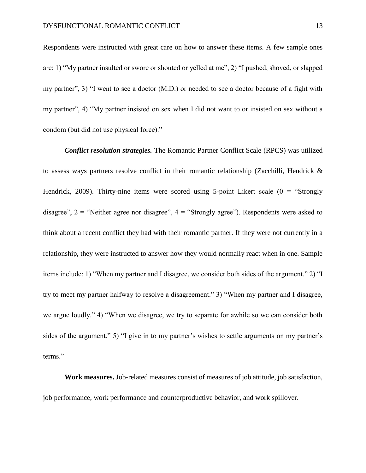Respondents were instructed with great care on how to answer these items. A few sample ones are: 1) "My partner insulted or swore or shouted or yelled at me", 2) "I pushed, shoved, or slapped my partner", 3) "I went to see a doctor (M.D.) or needed to see a doctor because of a fight with my partner", 4) "My partner insisted on sex when I did not want to or insisted on sex without a condom (but did not use physical force)."

*Conflict resolution strategies.* The Romantic Partner Conflict Scale (RPCS) was utilized to assess ways partners resolve conflict in their romantic relationship (Zacchilli, Hendrick & Hendrick, 2009). Thirty-nine items were scored using 5-point Likert scale  $(0 = "Strongly$ disagree",  $2 =$  "Neither agree nor disagree",  $4 =$  "Strongly agree"). Respondents were asked to think about a recent conflict they had with their romantic partner. If they were not currently in a relationship, they were instructed to answer how they would normally react when in one. Sample items include: 1) "When my partner and I disagree, we consider both sides of the argument." 2) "I try to meet my partner halfway to resolve a disagreement." 3) "When my partner and I disagree, we argue loudly." 4) "When we disagree, we try to separate for awhile so we can consider both sides of the argument." 5) "I give in to my partner's wishes to settle arguments on my partner's terms."

**Work measures.** Job-related measures consist of measures of job attitude, job satisfaction, job performance, work performance and counterproductive behavior, and work spillover.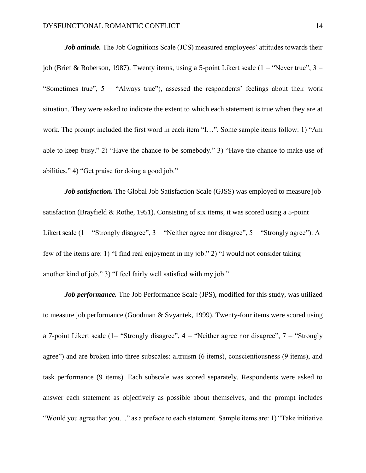*Job attitude*. The Job Cognitions Scale (JCS) measured employees' attitudes towards their job (Brief & Roberson, 1987). Twenty items, using a 5-point Likert scale (1 = "Never true",  $3 =$ "Sometimes true",  $5 =$  "Always true"), assessed the respondents' feelings about their work situation. They were asked to indicate the extent to which each statement is true when they are at work. The prompt included the first word in each item "I…". Some sample items follow: 1) "Am able to keep busy." 2) "Have the chance to be somebody." 3) "Have the chance to make use of abilities." 4) "Get praise for doing a good job."

*Job satisfaction*. The Global Job Satisfaction Scale (GJSS) was employed to measure job satisfaction (Brayfield & Rothe, 1951). Consisting of six items, it was scored using a 5-point Likert scale ( $1 =$  "Strongly disagree",  $3 =$  "Neither agree nor disagree",  $5 =$  "Strongly agree"). A few of the items are: 1) "I find real enjoyment in my job." 2) "I would not consider taking another kind of job." 3) "I feel fairly well satisfied with my job."

*Job performance.* The Job Performance Scale (JPS), modified for this study, was utilized to measure job performance (Goodman & Svyantek, 1999). Twenty-four items were scored using a 7-point Likert scale (1= "Strongly disagree",  $4 =$  "Neither agree nor disagree",  $7 =$  "Strongly agree") and are broken into three subscales: altruism (6 items), conscientiousness (9 items), and task performance (9 items). Each subscale was scored separately. Respondents were asked to answer each statement as objectively as possible about themselves, and the prompt includes "Would you agree that you…" as a preface to each statement. Sample items are: 1) "Take initiative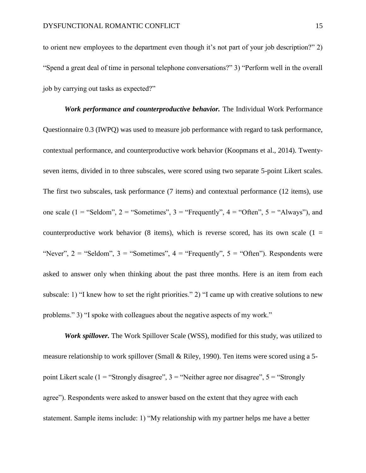to orient new employees to the department even though it's not part of your job description?" 2) "Spend a great deal of time in personal telephone conversations?" 3) "Perform well in the overall job by carrying out tasks as expected?"

*Work performance and counterproductive behavior.* The Individual Work Performance Questionnaire 0.3 (IWPQ) was used to measure job performance with regard to task performance, contextual performance, and counterproductive work behavior (Koopmans et al., 2014). Twentyseven items, divided in to three subscales, were scored using two separate 5-point Likert scales. The first two subscales, task performance (7 items) and contextual performance (12 items), use one scale (1 = "Seldom", 2 = "Sometimes", 3 = "Frequently",  $4 =$  "Often",  $5 =$  "Always"), and counterproductive work behavior (8 items), which is reverse scored, has its own scale ( $1 =$ "Never",  $2 =$  "Seldom",  $3 =$  "Sometimes",  $4 =$  "Frequently",  $5 =$  "Often"). Respondents were asked to answer only when thinking about the past three months. Here is an item from each subscale: 1) "I knew how to set the right priorities." 2) "I came up with creative solutions to new problems." 3) "I spoke with colleagues about the negative aspects of my work."

*Work spillover.* The Work Spillover Scale (WSS), modified for this study, was utilized to measure relationship to work spillover (Small & Riley, 1990). Ten items were scored using a 5 point Likert scale (1 = "Strongly disagree",  $3$  = "Neither agree nor disagree",  $5$  = "Strongly agree"). Respondents were asked to answer based on the extent that they agree with each statement. Sample items include: 1) "My relationship with my partner helps me have a better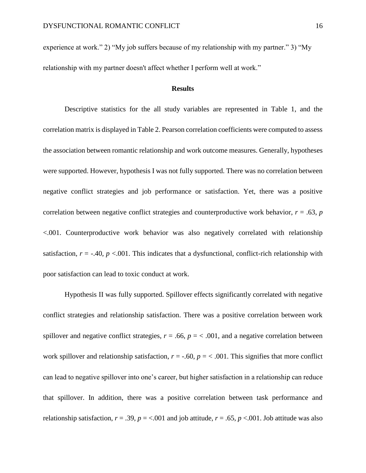experience at work." 2) "My job suffers because of my relationship with my partner." 3) "My relationship with my partner doesn't affect whether I perform well at work."

#### **Results**

Descriptive statistics for the all study variables are represented in Table 1, and the correlation matrix is displayed in Table 2. Pearson correlation coefficients were computed to assess the association between romantic relationship and work outcome measures. Generally, hypotheses were supported. However, hypothesis I was not fully supported. There was no correlation between negative conflict strategies and job performance or satisfaction. Yet, there was a positive correlation between negative conflict strategies and counterproductive work behavior,  $r = .63$ ,  $p$ <.001. Counterproductive work behavior was also negatively correlated with relationship satisfaction,  $r = -40$ ,  $p < 0.01$ . This indicates that a dysfunctional, conflict-rich relationship with poor satisfaction can lead to toxic conduct at work.

Hypothesis II was fully supported. Spillover effects significantly correlated with negative conflict strategies and relationship satisfaction. There was a positive correlation between work spillover and negative conflict strategies,  $r = .66$ ,  $p = < .001$ , and a negative correlation between work spillover and relationship satisfaction,  $r = -.60$ ,  $p = < .001$ . This signifies that more conflict can lead to negative spillover into one's career, but higher satisfaction in a relationship can reduce that spillover. In addition, there was a positive correlation between task performance and relationship satisfaction,  $r = .39$ ,  $p = < .001$  and job attitude,  $r = .65$ ,  $p < .001$ . Job attitude was also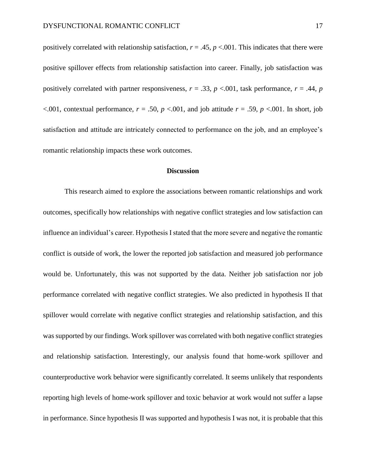positively correlated with relationship satisfaction,  $r = .45$ ,  $p < .001$ . This indicates that there were positive spillover effects from relationship satisfaction into career. Finally, job satisfaction was positively correlated with partner responsiveness,  $r = .33$ ,  $p < .001$ , task performance,  $r = .44$ ,  $p$  $\leq$ .001, contextual performance,  $r = .50$ ,  $p \leq$ .001, and job attitude  $r = .59$ ,  $p \leq$ .001. In short, job satisfaction and attitude are intricately connected to performance on the job, and an employee's romantic relationship impacts these work outcomes.

#### **Discussion**

This research aimed to explore the associations between romantic relationships and work outcomes, specifically how relationships with negative conflict strategies and low satisfaction can influence an individual's career. Hypothesis I stated that the more severe and negative the romantic conflict is outside of work, the lower the reported job satisfaction and measured job performance would be. Unfortunately, this was not supported by the data. Neither job satisfaction nor job performance correlated with negative conflict strategies. We also predicted in hypothesis II that spillover would correlate with negative conflict strategies and relationship satisfaction, and this was supported by our findings. Work spillover was correlated with both negative conflict strategies and relationship satisfaction. Interestingly, our analysis found that home-work spillover and counterproductive work behavior were significantly correlated. It seems unlikely that respondents reporting high levels of home-work spillover and toxic behavior at work would not suffer a lapse in performance. Since hypothesis II was supported and hypothesis I was not, it is probable that this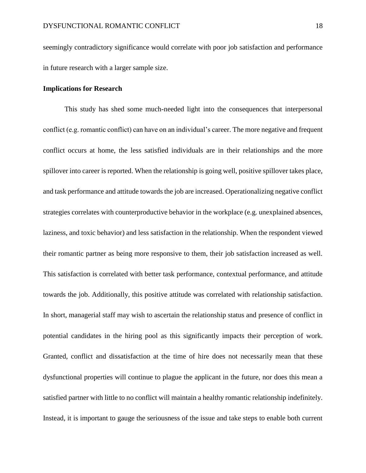seemingly contradictory significance would correlate with poor job satisfaction and performance in future research with a larger sample size.

### **Implications for Research**

This study has shed some much-needed light into the consequences that interpersonal conflict (e.g. romantic conflict) can have on an individual's career. The more negative and frequent conflict occurs at home, the less satisfied individuals are in their relationships and the more spillover into career is reported. When the relationship is going well, positive spillover takes place, and task performance and attitude towards the job are increased. Operationalizing negative conflict strategies correlates with counterproductive behavior in the workplace (e.g. unexplained absences, laziness, and toxic behavior) and less satisfaction in the relationship. When the respondent viewed their romantic partner as being more responsive to them, their job satisfaction increased as well. This satisfaction is correlated with better task performance, contextual performance, and attitude towards the job. Additionally, this positive attitude was correlated with relationship satisfaction. In short, managerial staff may wish to ascertain the relationship status and presence of conflict in potential candidates in the hiring pool as this significantly impacts their perception of work. Granted, conflict and dissatisfaction at the time of hire does not necessarily mean that these dysfunctional properties will continue to plague the applicant in the future, nor does this mean a satisfied partner with little to no conflict will maintain a healthy romantic relationship indefinitely. Instead, it is important to gauge the seriousness of the issue and take steps to enable both current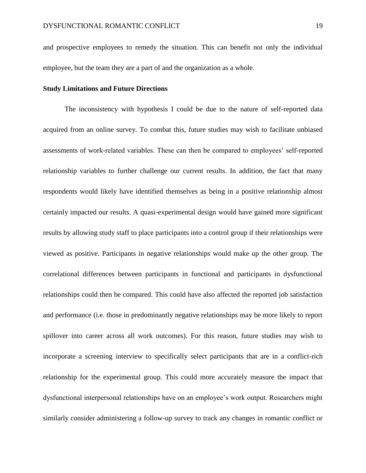and prospective employees to remedy the situation. This can benefit not only the individual employee, but the team they are a part of and the organization as a whole.

#### **Study Limitations and Future Directions**

The inconsistency with hypothesis I could be due to the nature of self-reported data acquired from an online survey. To combat this, future studies may wish to facilitate unbiased assessments of work-related variables. These can then be compared to employees' self-reported relationship variables to further challenge our current results. In addition, the fact that many respondents would likely have identified themselves as being in a positive relationship almost certainly impacted our results. A quasi-experimental design would have gained more significant results by allowing study staff to place participants into a control group if their relationships were viewed as positive. Participants in negative relationships would make up the other group. The correlational differences between participants in functional and participants in dysfunctional relationships could then be compared. This could have also affected the reported job satisfaction and performance (i.e. those in predominantly negative relationships may be more likely to report spillover into career across all work outcomes). For this reason, future studies may wish to incorporate a screening interview to specifically select participants that are in a conflict-rich relationship for the experimental group. This could more accurately measure the impact that dysfunctional interpersonal relationships have on an employee's work output. Researchers might similarly consider administering a follow-up survey to track any changes in romantic conflict or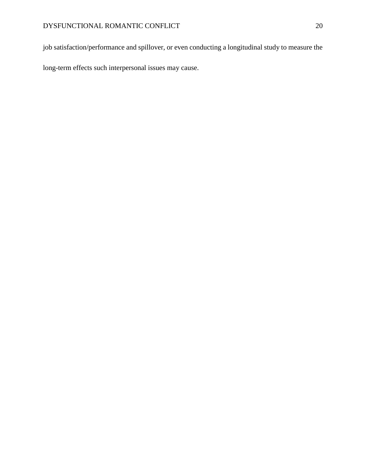job satisfaction/performance and spillover, or even conducting a longitudinal study to measure the

long-term effects such interpersonal issues may cause.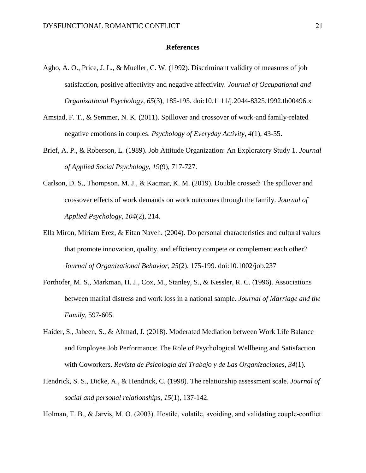#### **References**

- Agho, A. O., Price, J. L., & Mueller, C. W. (1992). Discriminant validity of measures of job satisfaction, positive affectivity and negative affectivity. *Journal of Occupational and Organizational Psychology, 65*(3), 185-195. doi:10.1111/j.2044-8325.1992.tb00496.x
- Amstad, F. T., & Semmer, N. K. (2011). Spillover and crossover of work-and family-related negative emotions in couples. *Psychology of Everyday Activity*, *4*(1), 43-55.
- Brief, A. P., & Roberson, L. (1989). Job Attitude Organization: An Exploratory Study 1. *Journal of Applied Social Psychology*, *19*(9), 717-727.
- Carlson, D. S., Thompson, M. J., & Kacmar, K. M. (2019). Double crossed: The spillover and crossover effects of work demands on work outcomes through the family. *Journal of Applied Psychology*, *104*(2), 214.
- Ella Miron, Miriam Erez, & Eitan Naveh. (2004). Do personal characteristics and cultural values that promote innovation, quality, and efficiency compete or complement each other? *Journal of Organizational Behavior, 25*(2), 175-199. doi:10.1002/job.237
- Forthofer, M. S., Markman, H. J., Cox, M., Stanley, S., & Kessler, R. C. (1996). Associations between marital distress and work loss in a national sample. *Journal of Marriage and the Family*, 597-605.
- Haider, S., Jabeen, S., & Ahmad, J. (2018). Moderated Mediation between Work Life Balance and Employee Job Performance: The Role of Psychological Wellbeing and Satisfaction with Coworkers. *Revista de Psicologia del Trabajo y de Las Organizaciones*, *34*(1).
- Hendrick, S. S., Dicke, A., & Hendrick, C. (1998). The relationship assessment scale. *Journal of social and personal relationships*, *15*(1), 137-142.

Holman, T. B., & Jarvis, M. O. (2003). Hostile, volatile, avoiding, and validating couple-conflict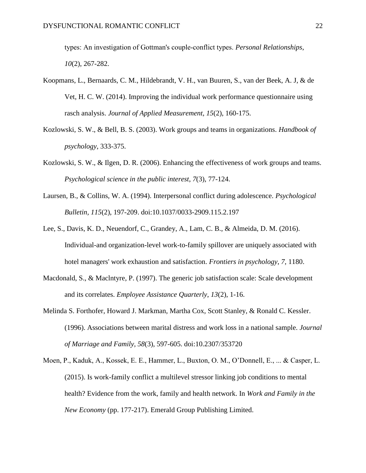types: An investigation of Gottman's couple‐conflict types. *Personal Relationships*, *10*(2), 267-282.

- Koopmans, L., Bernaards, C. M., Hildebrandt, V. H., van Buuren, S., van der Beek, A. J, & de Vet, H. C. W. (2014). Improving the individual work performance questionnaire using rasch analysis. *Journal of Applied Measurement, 15*(2), 160-175.
- Kozlowski, S. W., & Bell, B. S. (2003). Work groups and teams in organizations. *Handbook of psychology*, 333-375.
- Kozlowski, S. W., & Ilgen, D. R. (2006). Enhancing the effectiveness of work groups and teams. *Psychological science in the public interest*, *7*(3), 77-124.
- Laursen, B., & Collins, W. A. (1994). Interpersonal conflict during adolescence. *Psychological Bulletin, 115*(2), 197-209. doi:10.1037/0033-2909.115.2.197
- Lee, S., Davis, K. D., Neuendorf, C., Grandey, A., Lam, C. B., & Almeida, D. M. (2016). Individual-and organization-level work-to-family spillover are uniquely associated with hotel managers' work exhaustion and satisfaction. *Frontiers in psychology*, *7*, 1180.
- Macdonald, S., & Maclntyre, P. (1997). The generic job satisfaction scale: Scale development and its correlates. *Employee Assistance Quarterly*, *13*(2), 1-16.
- Melinda S. Forthofer, Howard J. Markman, Martha Cox, Scott Stanley, & Ronald C. Kessler. (1996). Associations between marital distress and work loss in a national sample. *Journal of Marriage and Family, 58*(3), 597-605. doi:10.2307/353720
- Moen, P., Kaduk, A., Kossek, E. E., Hammer, L., Buxton, O. M., O'Donnell, E., ... & Casper, L. (2015). Is work-family conflict a multilevel stressor linking job conditions to mental health? Evidence from the work, family and health network. In *Work and Family in the New Economy* (pp. 177-217). Emerald Group Publishing Limited.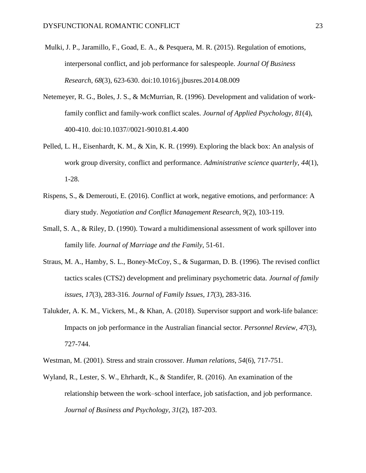- Mulki, J. P., Jaramillo, F., Goad, E. A., & Pesquera, M. R. (2015). Regulation of emotions, interpersonal conflict, and job performance for salespeople. *Journal Of Business Research*, *68*(3), 623-630. doi:10.1016/j.jbusres.2014.08.009
- Netemeyer, R. G., Boles, J. S., & McMurrian, R. (1996). Development and validation of workfamily conflict and family-work conflict scales. *Journal of Applied Psychology, 81*(4), 400-410. doi:10.1037//0021-9010.81.4.400
- Pelled, L. H., Eisenhardt, K. M., & Xin, K. R. (1999). Exploring the black box: An analysis of work group diversity, conflict and performance. *Administrative science quarterly*, *44*(1), 1-28.
- Rispens, S., & Demerouti, E. (2016). Conflict at work, negative emotions, and performance: A diary study. *Negotiation and Conflict Management Research*, *9*(2), 103-119.
- Small, S. A., & Riley, D. (1990). Toward a multidimensional assessment of work spillover into family life. *Journal of Marriage and the Family*, 51-61.
- Straus, M. A., Hamby, S. L., Boney-McCoy, S., & Sugarman, D. B. (1996). The revised conflict tactics scales (CTS2) development and preliminary psychometric data. *Journal of family issues*, *17*(3), 283-316. *Journal of Family Issues*, *17*(3), 283-316.
- Talukder, A. K. M., Vickers, M., & Khan, A. (2018). Supervisor support and work-life balance: Impacts on job performance in the Australian financial sector. *Personnel Review*, *47*(3), 727-744.
- Westman, M. (2001). Stress and strain crossover. *Human relations*, *54*(6), 717-751.
- Wyland, R., Lester, S. W., Ehrhardt, K., & Standifer, R. (2016). An examination of the relationship between the work–school interface, job satisfaction, and job performance. *Journal of Business and Psychology*, *31*(2), 187-203.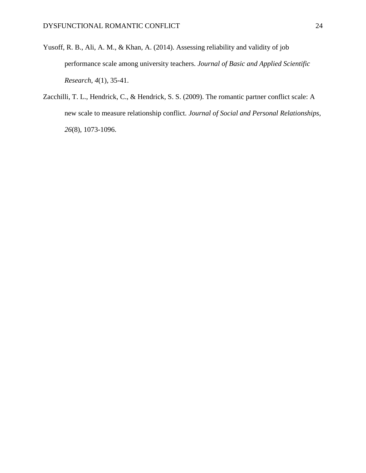- Yusoff, R. B., Ali, A. M., & Khan, A. (2014). Assessing reliability and validity of job performance scale among university teachers. *Journal of Basic and Applied Scientific Research*, *4*(1), 35-41.
- Zacchilli, T. L., Hendrick, C., & Hendrick, S. S. (2009). The romantic partner conflict scale: A new scale to measure relationship conflict. *Journal of Social and Personal Relationships*, *26*(8), 1073-1096.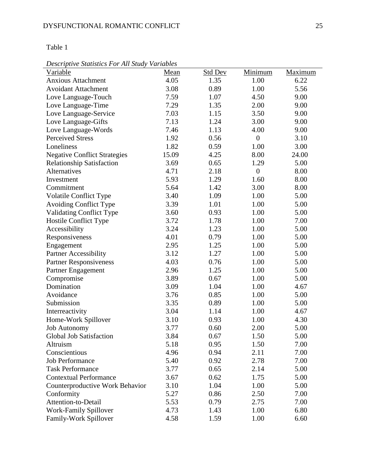*Descriptive Statistics For All Study Variables*

| Descriptive Statistics I or Tut Study Variables |       |                |                  |         |
|-------------------------------------------------|-------|----------------|------------------|---------|
| Variable                                        | Mean  | <b>Std Dev</b> | Minimum          | Maximum |
| <b>Anxious Attachment</b>                       | 4.05  | 1.35           | 1.00             | 6.22    |
| <b>Avoidant Attachment</b>                      | 3.08  | 0.89           | 1.00             | 5.56    |
| Love Language-Touch                             | 7.59  | 1.07           | 4.50             | 9.00    |
| Love Language-Time                              | 7.29  | 1.35           | 2.00             | 9.00    |
| Love Language-Service                           | 7.03  | 1.15           | 3.50             | 9.00    |
| Love Language-Gifts                             | 7.13  | 1.24           | 3.00             | 9.00    |
| Love Language-Words                             | 7.46  | 1.13           | 4.00             | 9.00    |
| <b>Perceived Stress</b>                         | 1.92  | 0.56           | $\boldsymbol{0}$ | 3.10    |
| Loneliness                                      | 1.82  | 0.59           | 1.00             | 3.00    |
| <b>Negative Conflict Strategies</b>             | 15.09 | 4.25           | 8.00             | 24.00   |
| Relationship Satisfaction                       | 3.69  | 0.65           | 1.29             | 5.00    |
| Alternatives                                    | 4.71  | 2.18           | $\boldsymbol{0}$ | 8.00    |
| Investment                                      | 5.93  | 1.29           | 1.60             | 8.00    |
| Commitment                                      | 5.64  | 1.42           | 3.00             | 8.00    |
| <b>Volatile Conflict Type</b>                   | 3.40  | 1.09           | 1.00             | 5.00    |
| <b>Avoiding Conflict Type</b>                   | 3.39  | 1.01           | 1.00             | 5.00    |
| <b>Validating Conflict Type</b>                 | 3.60  | 0.93           | 1.00             | 5.00    |
| Hostile Conflict Type                           | 3.72  | 1.78           | 1.00             | 7.00    |
| Accessibility                                   | 3.24  | 1.23           | 1.00             | 5.00    |
| Responsiveness                                  | 4.01  | 0.79           | 1.00             | 5.00    |
| Engagement                                      | 2.95  | 1.25           | 1.00             | 5.00    |
| <b>Partner Accessibility</b>                    | 3.12  | 1.27           | 1.00             | 5.00    |
| <b>Partner Responsiveness</b>                   | 4.03  | 0.76           | 1.00             | 5.00    |
| Partner Engagement                              | 2.96  | 1.25           | 1.00             | 5.00    |
| Compromise                                      | 3.89  | 0.67           | 1.00             | 5.00    |
| Domination                                      | 3.09  | 1.04           | 1.00             | 4.67    |
| Avoidance                                       | 3.76  | 0.85           | 1.00             | 5.00    |
| Submission                                      | 3.35  | 0.89           | 1.00             | 5.00    |
| Interreactivity                                 | 3.04  | 1.14           | 1.00             | 4.67    |
| Home-Work Spillover                             | 3.10  | 0.93           | 1.00             | 4.30    |
| <b>Job Autonomy</b>                             | 3.77  | 0.60           | 2.00             | 5.00    |
| <b>Global Job Satisfaction</b>                  | 3.84  | 0.67           | 1.50             | 5.00    |
| Altruism                                        | 5.18  | 0.95           | 1.50             | 7.00    |
| Conscientious                                   | 4.96  | 0.94           | 2.11             | 7.00    |
| <b>Job Performance</b>                          | 5.40  | 0.92           | 2.78             | 7.00    |
| <b>Task Performance</b>                         | 3.77  | 0.65           | 2.14             | 5.00    |
| <b>Contextual Performance</b>                   | 3.67  | 0.62           | 1.75             | 5.00    |
| Counterproductive Work Behavior                 | 3.10  | 1.04           | 1.00             | 5.00    |
| Conformity                                      | 5.27  | 0.86           | 2.50             | 7.00    |
| Attention-to-Detail                             | 5.53  | 0.79           | 2.75             | 7.00    |
| <b>Work-Family Spillover</b>                    | 4.73  | 1.43           | 1.00             | 6.80    |
| Family-Work Spillover                           | 4.58  | 1.59           | 1.00             | 6.60    |
|                                                 |       |                |                  |         |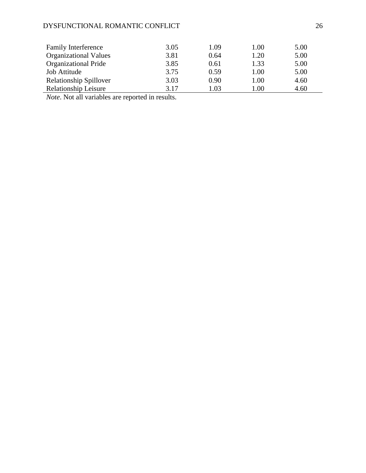# DYSFUNCTIONAL ROMANTIC CONFLICT 26

| <b>Family Interference</b>    | 3.05 | 1.09 | 1.00     | 5.00 |
|-------------------------------|------|------|----------|------|
| <b>Organizational Values</b>  | 3.81 | 0.64 | 1.20     | 5.00 |
| <b>Organizational Pride</b>   | 3.85 | 0.61 | 1.33     | 5.00 |
| Job Attitude                  | 3.75 | 0.59 | 1.00     | 5.00 |
| <b>Relationship Spillover</b> | 3.03 | 0.90 | 1.00     | 4.60 |
| <b>Relationship Leisure</b>   | 3.17 | 1.03 | $1.00\,$ | 4.60 |

*Note*. Not all variables are reported in results.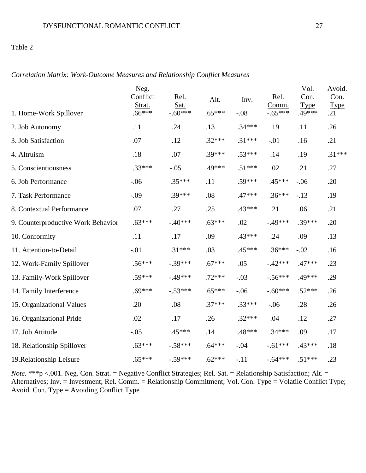## Table 2

| 1. Home-Work Spillover             | Neg.<br>Conflict<br>Strat.<br>$.66***$ | Rel.<br>Sat.<br>$-.60***$ | Alt.<br>$.65***$ | Inv.<br>$-.08$ | Rel.<br>Comm.<br>$-.65***$ | Vol.<br>Con.<br><b>Type</b><br>.49*** | Avoid.<br>Con.<br>Type<br>.21 |
|------------------------------------|----------------------------------------|---------------------------|------------------|----------------|----------------------------|---------------------------------------|-------------------------------|
| 2. Job Autonomy                    | .11                                    | .24                       | .13              | $.34***$       | .19                        | .11                                   | .26                           |
| 3. Job Satisfaction                | .07                                    | .12                       | $.32***$         | $.31***$       | $-.01$                     | .16                                   | .21                           |
| 4. Altruism                        | .18                                    | .07                       | $.39***$         | $.53***$       | .14                        | .19                                   | $.31***$                      |
| 5. Conscientiousness               | $.33***$                               | $-.05$                    | .49***           | $.51***$       | .02                        | .21                                   | .27                           |
| 6. Job Performance                 | $-.06$                                 | $.35***$                  | .11              | $.59***$       | .45***                     | $-.06$                                | .20                           |
| 7. Task Performance                | $-.09$                                 | $.39***$                  | .08              | $.47***$       | $.36***$                   | $-.13$                                | .19                           |
| 8. Contextual Performance          | .07                                    | .27                       | .25              | $.43***$       | .21                        | .06                                   | .21                           |
| 9. Counterproductive Work Behavior | $.63***$                               | $-.40***$                 | $.63***$         | .02            | $-.49***$                  | $.39***$                              | .20                           |
| 10. Conformity                     | .11                                    | .17                       | .09              | $.43***$       | .24                        | .09                                   | .13                           |
| 11. Attention-to-Detail            | $-.01$                                 | $.31***$                  | .03              | $.45***$       | $.36***$                   | $-.02$                                | .16                           |
| 12. Work-Family Spillover          | $.56***$                               | $-.39***$                 | $.67***$         | .05            | $-.42***$                  | $.47***$                              | .23                           |
| 13. Family-Work Spillover          | $.59***$                               | $-49***$                  | $.72***$         | $-.03$         | $-.56***$                  | .49***                                | .29                           |
| 14. Family Interference            | $.69***$                               | $-.53***$                 | $.65***$         | $-.06$         | $-.60***$                  | $.52***$                              | .26                           |
| 15. Organizational Values          | .20                                    | .08                       | $.37***$         | $.33***$       | $-.06$                     | .28                                   | .26                           |
| 16. Organizational Pride           | .02                                    | .17                       | .26              | $.32***$       | .04                        | .12                                   | .27                           |
| 17. Job Attitude                   | $-.05$                                 | .45***                    | .14              | .48***         | $.34***$                   | .09                                   | .17                           |
| 18. Relationship Spillover         | $.63***$                               | $-.58***$                 | $.64***$         | $-.04$         | $-.61***$                  | $.43***$                              | .18                           |
| 19. Relationship Leisure           | $.65***$                               | $-.59***$                 | $.62***$         | $-.11$         | $-.64***$                  | $.51***$                              | .23                           |

*Correlation Matrix: Work-Outcome Measures and Relationship Conflict Measures*

*Note.* \*\*\*p <.001. Neg. Con. Strat. = Negative Conflict Strategies; Rel. Sat. = Relationship Satisfaction; Alt. = Alternatives; Inv. = Investment; Rel. Comm. = Relationship Commitment; Vol. Con. Type = Volatile Conflict Type; Avoid. Con. Type = Avoiding Conflict Type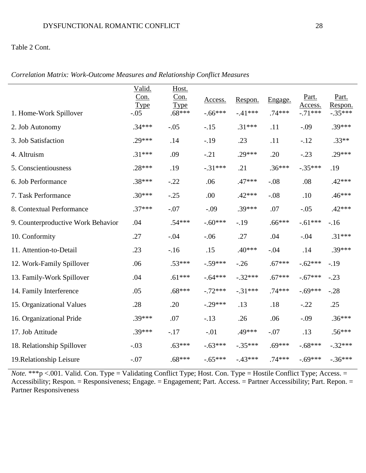## Table 2 Cont.

|                                    | Valid.<br>Con.<br><b>Type</b> | Host.<br>Con.<br><b>Type</b> | Access.   | Respon.   | Engage.  | Part.<br>Access. | Part.<br>Respon. |
|------------------------------------|-------------------------------|------------------------------|-----------|-----------|----------|------------------|------------------|
| 1. Home-Work Spillover             | $-.05$                        | $.68***$                     | $-.66***$ | $-.41***$ | $.74***$ | $-.71***$        | $-.35***$        |
| 2. Job Autonomy                    | $.34***$                      | $-.05$                       | $-.15$    | $.31***$  | .11      | $-.09$           | $.39***$         |
| 3. Job Satisfaction                | $.29***$                      | .14                          | $-.19$    | .23       | .11      | $-.12$           | $.33**$          |
| 4. Altruism                        | $.31***$                      | .09                          | $-.21$    | $.29***$  | .20      | $-.23$           | $.29***$         |
| 5. Conscientiousness               | $.28***$                      | .19                          | $-.31***$ | .21       | $.36***$ | $-.35***$        | .19              |
| 6. Job Performance                 | $.38***$                      | $-.22$                       | .06       | $.47***$  | $-.08$   | .08              | $.42***$         |
| 7. Task Performance                | $.30***$                      | $-.25$                       | .00       | $.42***$  | $-.08$   | .10              | $.46***$         |
| 8. Contextual Performance          | $.37***$                      | $-.07$                       | $-.09$    | $.39***$  | .07      | $-.05$           | $.42***$         |
| 9. Counterproductive Work Behavior | .04                           | $.54***$                     | $-.60***$ | $-.19$    | $.66***$ | $-.61***$        | $-16$            |
| 10. Conformity                     | .27                           | $-.04$                       | $-.06$    | .27       | .04      | $-.04$           | $.31***$         |
| 11. Attention-to-Detail            | .23                           | $-16$                        | .15       | $.40***$  | $-.04$   | .14              | $.39***$         |
| 12. Work-Family Spillover          | .06                           | $.53***$                     | $-.59***$ | $-.26$    | $.67***$ | $-.62***$        | $-19$            |
| 13. Family-Work Spillover          | .04                           | $.61***$                     | $-.64***$ | $-.32***$ | $.67***$ | $-.67***$        | $-.23$           |
| 14. Family Interference            | .05                           | $.68***$                     | $-.72***$ | $-.31***$ | $.74***$ | $-.69***$        | $-.28$           |
| 15. Organizational Values          | .28                           | .20                          | $-.29***$ | .13       | .18      | $-.22$           | .25              |
| 16. Organizational Pride           | $.39***$                      | .07                          | $-.13$    | .26       | .06      | $-.09$           | $.36***$         |
| 17. Job Attitude                   | $.39***$                      | $-.17$                       | $-.01$    | .49***    | $-.07$   | .13              | $.56***$         |
| 18. Relationship Spillover         | $-.03$                        | $.63***$                     | $-.63***$ | $-.35***$ | $.69***$ | $-.68***$        | $-.32***$        |
| 19. Relationship Leisure           | $-.07$                        | $.68***$                     | $-.65***$ | $-43***$  | $.74***$ | $-.69***$        | $-.36***$        |

*Correlation Matrix: Work-Outcome Measures and Relationship Conflict Measures*

*Note.* \*\*\*p <.001. Valid. Con. Type = Validating Conflict Type; Host. Con. Type = Hostile Conflict Type; Access. = Accessibility; Respon. = Responsiveness; Engage. = Engagement; Part. Access. = Partner Accessibility; Part. Repon. = Partner Responsiveness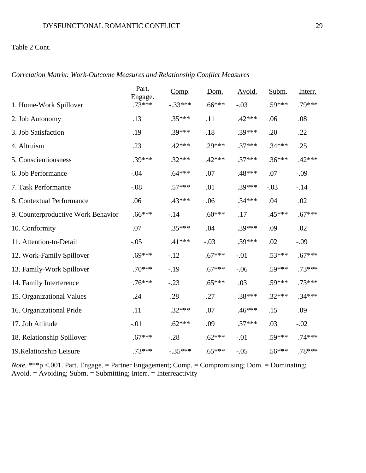## Table 2 Cont.

|                                    | Part.<br>Engage. | Comp.     | Dom.     | Avoid.   | Subm.    | Interr.  |
|------------------------------------|------------------|-----------|----------|----------|----------|----------|
| 1. Home-Work Spillover             | $.73***$         | $-.33***$ | $.66***$ | $-.03$   | .59***   | .79***   |
| 2. Job Autonomy                    | .13              | $.35***$  | .11      | $.42***$ | .06      | .08      |
| 3. Job Satisfaction                | .19              | .39***    | .18      | $.39***$ | .20      | .22      |
| 4. Altruism                        | .23              | $.42***$  | $.29***$ | $.37***$ | $.34***$ | .25      |
| 5. Conscientiousness               | $.39***$         | $.32***$  | $.42***$ | $.37***$ | $.36***$ | $.42***$ |
| 6. Job Performance                 | $-.04$           | $.64***$  | .07      | .48***   | .07      | $-.09$   |
| 7. Task Performance                | $-.08$           | $.57***$  | .01      | $.39***$ | $-.03$   | $-14$    |
| 8. Contextual Performance          | .06              | .43***    | .06      | $.34***$ | .04      | .02      |
| 9. Counterproductive Work Behavior | $.66***$         | $-14$     | $.60***$ | .17      | .45***   | $.67***$ |
| 10. Conformity                     | .07              | $.35***$  | .04      | $.39***$ | .09      | .02      |
| 11. Attention-to-Detail            | $-.05$           | $.41***$  | $-.03$   | $.39***$ | .02      | $-.09$   |
| 12. Work-Family Spillover          | $.69***$         | $-.12$    | $.67***$ | $-.01$   | $.53***$ | $.67***$ |
| 13. Family-Work Spillover          | $.70***$         | $-.19$    | $.67***$ | $-.06$   | $.59***$ | $.73***$ |
| 14. Family Interference            | $.76***$         | $-.23$    | $.65***$ | .03      | $.59***$ | $.73***$ |
| 15. Organizational Values          | .24              | .28       | .27      | $.38***$ | $.32***$ | $.34***$ |
| 16. Organizational Pride           | .11              | $.32***$  | .07      | $.46***$ | .15      | .09      |
| 17. Job Attitude                   | $-.01$           | $.62***$  | .09      | $.37***$ | .03      | $-.02$   |
| 18. Relationship Spillover         | $.67***$         | $-.28$    | $.62***$ | $-.01$   | .59***   | $.74***$ |
| 19. Relationship Leisure           | $.73***$         | $-.35***$ | $.65***$ | $-.05$   | $.56***$ | .78***   |

*Correlation Matrix: Work-Outcome Measures and Relationship Conflict Measures*

*Note.* \*\*\*p <.001. Part. Engage. = Partner Engagement; Comp. = Compromising; Dom. = Dominating; Avoid. = Avoiding; Subm. = Submitting; Interr. = Interreactivity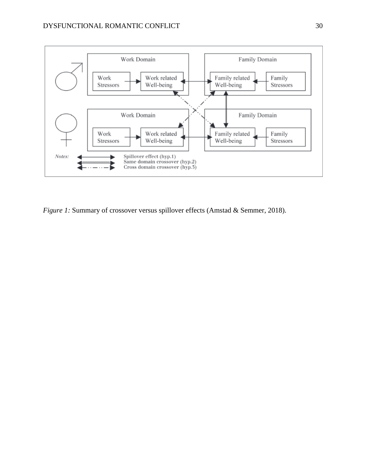

*Figure 1:* Summary of crossover versus spillover effects (Amstad & Semmer, 2018).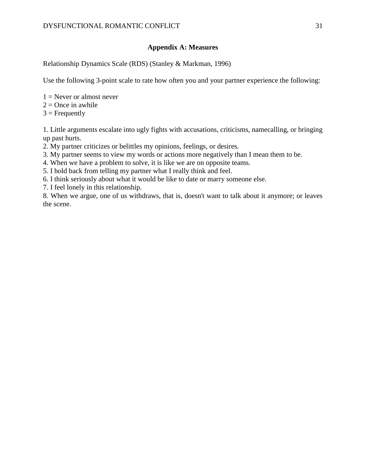## **Appendix A: Measures**

Relationship Dynamics Scale (RDS) (Stanley & Markman, 1996)

Use the following 3-point scale to rate how often you and your partner experience the following:

- $1 =$  Never or almost never
- $2 =$ Once in awhile
- $3$  = Frequently

1. Little arguments escalate into ugly fights with accusations, criticisms, namecalling, or bringing up past hurts.

- 2. My partner criticizes or belittles my opinions, feelings, or desires.
- 3. My partner seems to view my words or actions more negatively than I mean them to be.
- 4. When we have a problem to solve, it is like we are on opposite teams.
- 5. I hold back from telling my partner what I really think and feel.
- 6. I think seriously about what it would be like to date or marry someone else.
- 7. I feel lonely in this relationship.

8. When we argue, one of us withdraws, that is, doesn't want to talk about it anymore; or leaves the scene.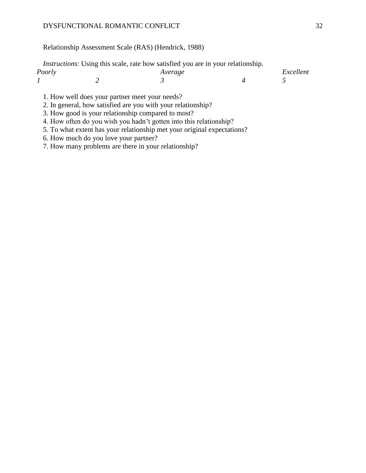#### DYSFUNCTIONAL ROMANTIC CONFLICT 32

# Relationship Assessment Scale (RAS) (Hendrick, 1988)

|        | <i>Instructions:</i> Using this scale, rate how satisfied you are in your relationship. |           |
|--------|-----------------------------------------------------------------------------------------|-----------|
| Poorly | Average                                                                                 | Excellent |
|        |                                                                                         |           |

- 1. How well does your partner meet your needs?
- 2. In general, how satisfied are you with your relationship?
- 3. How good is your relationship compared to most?
- 4. How often do you wish you hadn't gotten into this relationship?
- 5. To what extent has your relationship met your original expectations?
- 6. How much do you love your partner?
- 7. How many problems are there in your relationship?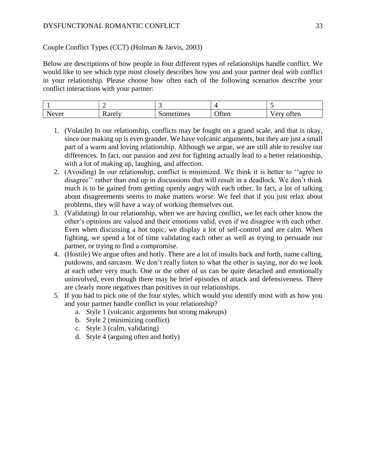### DYSFUNCTIONAL ROMANTIC CONFLICT 33

Couple Conflict Types (CCT) (Holman & Jarvis, 2003)

Below are descriptions of how people in four different types of relationships handle conflict. We would like to see which type most closely describes how you and your partner deal with conflict in your relationship. Please choose how often each of the following scenarios describe your conflict interactions with your partner:

| Never | 'ar≙ix<br><b>ANGELI</b> | ometimes | Often | often<br>$\sim$ 413<br>$\ddot{\phantom{0}}$ |
|-------|-------------------------|----------|-------|---------------------------------------------|

- 1. (Volatile) In our relationship, conflicts may be fought on a grand scale, and that is okay, since our making up is even grander. We have volcanic arguments, but they are just a small part of a warm and loving relationship. Although we argue, we are still able to resolve our differences. In fact, our passion and zest for fighting actually lead to a better relationship, with a lot of making up, laughing, and affection.
- 2. (Avoiding) In our relationship, conflict is minimized. We think it is better to ''agree to disagree'' rather than end up in discussions that will result in a deadlock. We don't think much is to be gained from getting openly angry with each other. In fact, a lot of talking about disagreements seems to make matters worse. We feel that if you just relax about problems, they will have a way of working themselves out.
- 3. (Validating) In our relationship, when we are having conflict, we let each other know the other's opinions are valued and their emotions valid, even if we disagree with each other. Even when discussing a hot topic, we display a lot of self-control and are calm. When fighting, we spend a lot of time validating each other as well as trying to persuade our partner, or trying to find a compromise.
- 4. (Hostile) We argue often and hotly. There are a lot of insults back and forth, name calling, putdowns, and sarcasm. We don't really listen to what the other is saying, nor do we look at each other very much. One or the other of us can be quite detached and emotionally uninvolved, even though there may be brief episodes of attack and defensiveness. There are clearly more negatives than positives in our relationships.
- 5. If you had to pick one of the four styles, which would you identify most with as how you and your partner handle conflict in your relationship?
	- a. Style 1 (volcanic arguments but strong makeups)
	- b. Style 2 (minimizing conflict)
	- c. Style 3 (calm, validating)
	- d. Style 4 (arguing often and hotly)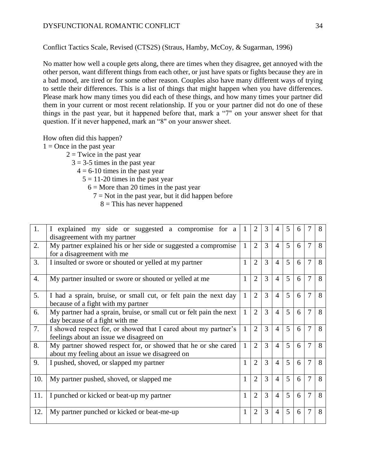Conflict Tactics Scale, Revised (CTS2S) (Straus, Hamby, McCoy, & Sugarman, 1996)

No matter how well a couple gets along, there are times when they disagree, get annoyed with the other person, want different things from each other, or just have spats or fights because they are in a bad mood, are tired or for some other reason. Couples also have many different ways of trying to settle their differences. This is a list of things that might happen when you have differences. Please mark how many times you did each of these things, and how many times your partner did them in your current or most recent relationship. If you or your partner did not do one of these things in the past year, but it happened before that, mark a "7" on your answer sheet for that question. If it never happened, mark an "8" on your answer sheet.

How often did this happen?

 $1 =$ Once in the past year

 $2 =$ Twice in the past year

 $3 = 3-5$  times in the past year

 $4 = 6-10$  times in the past year

 $5 = 11-20$  times in the past year

 $6 =$  More than 20 times in the past year

- $7 = Not$  in the past year, but it did happen before
	- $8 =$ This has never happened

| 1.  | I explained my side or suggested a compromise for a<br>disagreement with my partner                              | $\mathbf{1}$ | $\overline{2}$ | 3 | $\overline{4}$ | 5              | 6 |                | 8 |
|-----|------------------------------------------------------------------------------------------------------------------|--------------|----------------|---|----------------|----------------|---|----------------|---|
| 2.  | My partner explained his or her side or suggested a compromise<br>for a disagreement with me                     | $\mathbf{1}$ | $\overline{2}$ | 3 | $\overline{4}$ | $\mathfrak{H}$ | 6 | $\overline{7}$ | 8 |
| 3.  | I insulted or swore or shouted or yelled at my partner                                                           | $\mathbf{1}$ | $\overline{2}$ | 3 | $\overline{4}$ | 5              | 6 | $\overline{7}$ | 8 |
| 4.  | My partner insulted or swore or shouted or yelled at me                                                          | 1            | $\overline{2}$ | 3 | $\overline{4}$ | 5              | 6 | $\overline{7}$ | 8 |
| 5.  | I had a sprain, bruise, or small cut, or felt pain the next day<br>because of a fight with my partner            | $\mathbf{1}$ | $\overline{2}$ | 3 | $\overline{4}$ | 5              | 6 | 7              | 8 |
| 6.  | My partner had a sprain, bruise, or small cut or felt pain the next<br>day because of a fight with me            | $\mathbf{1}$ | $\overline{2}$ | 3 | $\overline{4}$ | 5              | 6 | 7              | 8 |
| 7.  | I showed respect for, or showed that I cared about my partner's<br>feelings about an issue we disagreed on       | $\mathbf{1}$ | $\overline{2}$ | 3 | $\overline{4}$ | 5              | 6 | 7              | 8 |
| 8.  | My partner showed respect for, or showed that he or she cared<br>about my feeling about an issue we disagreed on | $\mathbf{1}$ | $\overline{2}$ | 3 | $\overline{4}$ | 5              | 6 | $\overline{7}$ | 8 |
| 9.  | I pushed, shoved, or slapped my partner                                                                          | $\mathbf{1}$ | $\overline{2}$ | 3 | $\overline{4}$ | $\overline{5}$ | 6 | $\overline{7}$ | 8 |
| 10. | My partner pushed, shoved, or slapped me                                                                         | $\mathbf{1}$ | $\overline{2}$ | 3 | $\overline{4}$ | $\overline{5}$ | 6 | 7              | 8 |
| 11. | I punched or kicked or beat-up my partner                                                                        | $\mathbf{1}$ | $\overline{2}$ | 3 | $\overline{4}$ | $\mathfrak{H}$ | 6 | 7              | 8 |
| 12. | My partner punched or kicked or beat-me-up                                                                       | $\mathbf{1}$ | $\overline{2}$ | 3 | $\overline{4}$ | $\overline{5}$ | 6 | 7              | 8 |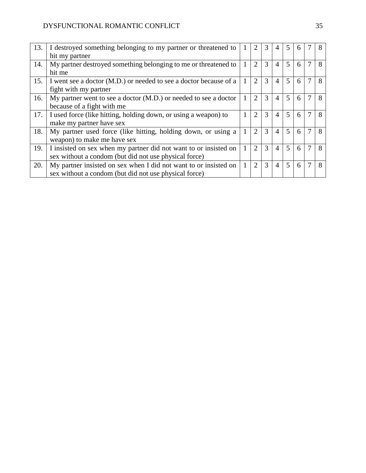| 13. | I destroyed something belonging to my partner or threatened to    |              |                |   | 4              | 5              | 6 | 8 |
|-----|-------------------------------------------------------------------|--------------|----------------|---|----------------|----------------|---|---|
|     | hit my partner                                                    |              |                |   |                |                |   |   |
| 14. | My partner destroyed something belonging to me or threatened to   | 1            | $\overline{2}$ | 3 | $\overline{4}$ | 5              | 6 | 8 |
|     | hit me                                                            |              |                |   |                |                |   |   |
| 15. | I went see a doctor (M.D.) or needed to see a doctor because of a | 1            | $\overline{2}$ | 3 | $\overline{4}$ | 5              | 6 | 8 |
|     | fight with my partner                                             |              |                |   |                |                |   |   |
| 16. | My partner went to see a doctor (M.D.) or needed to see a doctor  | 1            | 2              | 3 | $\overline{4}$ | $\overline{5}$ | 6 | 8 |
|     | because of a fight with me                                        |              |                |   |                |                |   |   |
| 17. | I used force (like hitting, holding down, or using a weapon) to   | 1            | 2              | 3 | $\overline{4}$ | 5              | 6 | 8 |
|     | make my partner have sex                                          |              |                |   |                |                |   |   |
| 18. | My partner used force (like hitting, holding down, or using a     | 1            | $\overline{2}$ | 3 | $\overline{4}$ | 5              | 6 | 8 |
|     | weapon) to make me have sex                                       |              |                |   |                |                |   |   |
| 19. | I insisted on sex when my partner did not want to or insisted on  | $\mathbf{1}$ | $\overline{2}$ | 3 | $\overline{4}$ | 5              | 6 | 8 |
|     | sex without a condom (but did not use physical force)             |              |                |   |                |                |   |   |
| 20. | My partner insisted on sex when I did not want to or insisted on  | 1            | 2              | 3 | $\overline{4}$ | 5              | 6 | 8 |
|     | sex without a condom (but did not use physical force)             |              |                |   |                |                |   |   |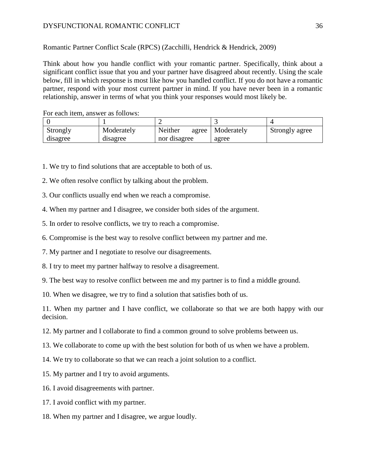Romantic Partner Conflict Scale (RPCS) (Zacchilli, Hendrick & Hendrick, 2009)

Think about how you handle conflict with your romantic partner. Specifically, think about a significant conflict issue that you and your partner have disagreed about recently. Using the scale below, fill in which response is most like how you handled conflict. If you do not have a romantic partner, respond with your most current partner in mind. If you have never been in a romantic relationship, answer in terms of what you think your responses would most likely be.

| TVI Cacil Reni, answer as follows. |            |                  |            |                |  |  |  |
|------------------------------------|------------|------------------|------------|----------------|--|--|--|
|                                    |            |                  |            |                |  |  |  |
| Strongly                           | Moderately | Neither<br>agree | Moderately | Strongly agree |  |  |  |
| disagree                           | disagree   | nor disagree     | agree      |                |  |  |  |

For each item, answer as follows:

- 1. We try to find solutions that are acceptable to both of us.
- 2. We often resolve conflict by talking about the problem.

3. Our conflicts usually end when we reach a compromise.

4. When my partner and I disagree, we consider both sides of the argument.

- 5. In order to resolve conflicts, we try to reach a compromise.
- 6. Compromise is the best way to resolve conflict between my partner and me.
- 7. My partner and I negotiate to resolve our disagreements.
- 8. I try to meet my partner halfway to resolve a disagreement.
- 9. The best way to resolve conflict between me and my partner is to find a middle ground.

10. When we disagree, we try to find a solution that satisfies both of us.

11. When my partner and I have conflict, we collaborate so that we are both happy with our decision.

- 12. My partner and I collaborate to find a common ground to solve problems between us.
- 13. We collaborate to come up with the best solution for both of us when we have a problem.
- 14. We try to collaborate so that we can reach a joint solution to a conflict.
- 15. My partner and I try to avoid arguments.
- 16. I avoid disagreements with partner.
- 17. I avoid conflict with my partner.
- 18. When my partner and I disagree, we argue loudly.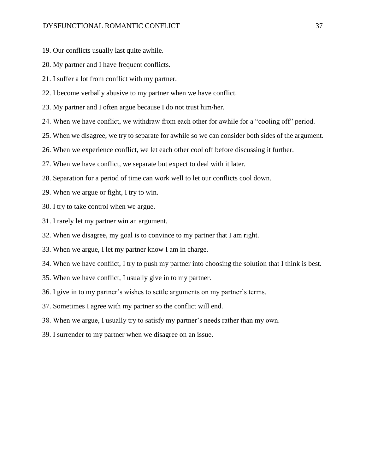- 19. Our conflicts usually last quite awhile.
- 20. My partner and I have frequent conflicts.
- 21. I suffer a lot from conflict with my partner.
- 22. I become verbally abusive to my partner when we have conflict.
- 23. My partner and I often argue because I do not trust him/her.
- 24. When we have conflict, we withdraw from each other for awhile for a "cooling off" period.
- 25. When we disagree, we try to separate for awhile so we can consider both sides of the argument.
- 26. When we experience conflict, we let each other cool off before discussing it further.
- 27. When we have conflict, we separate but expect to deal with it later.
- 28. Separation for a period of time can work well to let our conflicts cool down.
- 29. When we argue or fight, I try to win.
- 30. I try to take control when we argue.
- 31. I rarely let my partner win an argument.
- 32. When we disagree, my goal is to convince to my partner that I am right.
- 33. When we argue, I let my partner know I am in charge.
- 34. When we have conflict, I try to push my partner into choosing the solution that I think is best.
- 35. When we have conflict, I usually give in to my partner.
- 36. I give in to my partner's wishes to settle arguments on my partner's terms.
- 37. Sometimes I agree with my partner so the conflict will end.
- 38. When we argue, I usually try to satisfy my partner's needs rather than my own.
- 39. I surrender to my partner when we disagree on an issue.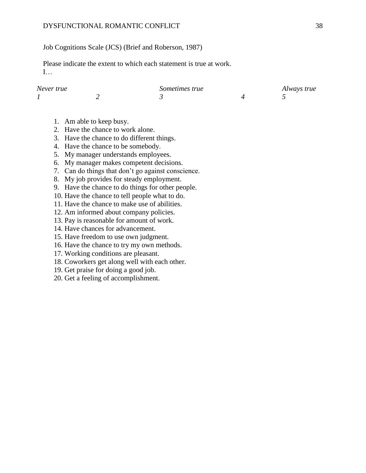#### DYSFUNCTIONAL ROMANTIC CONFLICT 38

Job Cognitions Scale (JCS) (Brief and Roberson, 1987)

Please indicate the extent to which each statement is true at work. I…

| Never true | Sometimes true | Always true |  |  |
|------------|----------------|-------------|--|--|
|            |                |             |  |  |

- 1. Am able to keep busy.
- 2. Have the chance to work alone.
- 3. Have the chance to do different things.
- 4. Have the chance to be somebody.
- 5. My manager understands employees.
- 6. My manager makes competent decisions.
- 7. Can do things that don't go against conscience.
- 8. My job provides for steady employment.
- 9. Have the chance to do things for other people.
- 10. Have the chance to tell people what to do.
- 11. Have the chance to make use of abilities.
- 12. Am informed about company policies.
- 13. Pay is reasonable for amount of work.
- 14. Have chances for advancement.
- 15. Have freedom to use own judgment.
- 16. Have the chance to try my own methods.
- 17. Working conditions are pleasant.
- 18. Coworkers get along well with each other.
- 19. Get praise for doing a good job.
- 20. Get a feeling of accomplishment.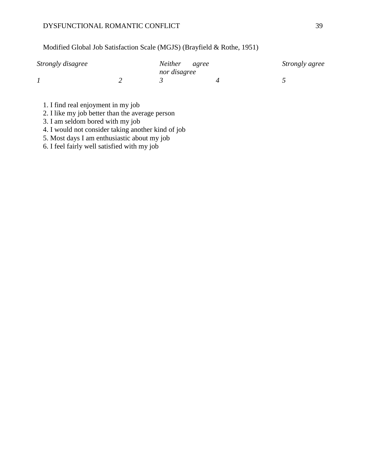### DYSFUNCTIONAL ROMANTIC CONFLICT 39

# Modified Global Job Satisfaction Scale (MGJS) (Brayfield & Rothe, 1951)

| Strongly disagree | Neither agree | Strongly agree |
|-------------------|---------------|----------------|
|                   | nor disagree  |                |
|                   |               |                |

- 1. I find real enjoyment in my job
- 2. I like my job better than the average person
- 3. I am seldom bored with my job
- 4. I would not consider taking another kind of job
- 5. Most days I am enthusiastic about my job
- 6. I feel fairly well satisfied with my job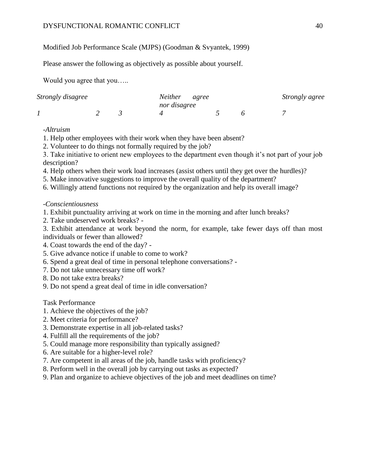# Modified Job Performance Scale (MJPS) (Goodman & Svyantek, 1999)

Please answer the following as objectively as possible about yourself.

Would you agree that you…..

| Strongly disagree |  |  | Neither agree |  | Strongly agree |  |
|-------------------|--|--|---------------|--|----------------|--|
|                   |  |  | nor disagree  |  |                |  |
|                   |  |  |               |  |                |  |

# *-Altruism*

- 1. Help other employees with their work when they have been absent?
- 2. Volunteer to do things not formally required by the job?

3. Take initiative to orient new employees to the department even though it's not part of your job description?

- 4. Help others when their work load increases (assist others until they get over the hurdles)?
- 5. Make innovative suggestions to improve the overall quality of the department?
- 6. Willingly attend functions not required by the organization and help its overall image?

# *-Conscientiousness*

- 1. Exhibit punctuality arriving at work on time in the morning and after lunch breaks?
- 2. Take undeserved work breaks? -

3. Exhibit attendance at work beyond the norm, for example, take fewer days off than most individuals or fewer than allowed?

- 4. Coast towards the end of the day? -
- 5. Give advance notice if unable to come to work?
- 6. Spend a great deal of time in personal telephone conversations? -
- 7. Do not take unnecessary time off work?
- 8. Do not take extra breaks?
- 9. Do not spend a great deal of time in idle conversation?

# Task Performance

- 1. Achieve the objectives of the job?
- 2. Meet criteria for performance?
- 3. Demonstrate expertise in all job-related tasks?
- 4. Fulfill all the requirements of the job?
- 5. Could manage more responsibility than typically assigned?
- 6. Are suitable for a higher-level role?
- 7. Are competent in all areas of the job, handle tasks with proficiency?
- 8. Perform well in the overall job by carrying out tasks as expected?
- 9. Plan and organize to achieve objectives of the job and meet deadlines on time?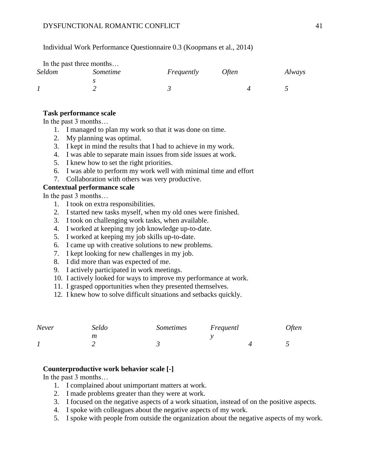Individual Work Performance Questionnaire 0.3 (Koopmans et al., 2014)

|               | In the past three months |            |              |        |
|---------------|--------------------------|------------|--------------|--------|
| <b>Seldom</b> | Sometime                 | Frequently | <i>Often</i> | Always |
|               |                          |            |              |        |
|               |                          |            |              |        |

#### **Task performance scale**

In the past 3 months…

- 1. I managed to plan my work so that it was done on time.
- 2. My planning was optimal.
- 3. I kept in mind the results that I had to achieve in my work.
- 4. I was able to separate main issues from side issues at work.
- 5. I knew how to set the right priorities.
- 6. I was able to perform my work well with minimal time and effort
- 7. Collaboration with others was very productive.

### **Contextual performance scale**

In the past 3 months…

- 1. I took on extra responsibilities.
- 2. I started new tasks myself, when my old ones were finished.
- 3. I took on challenging work tasks, when available.
- 4. I worked at keeping my job knowledge up-to-date.
- 5. I worked at keeping my job skills up-to-date.
- 6. I came up with creative solutions to new problems.
- 7. I kept looking for new challenges in my job.
- 8. I did more than was expected of me.
- 9. I actively participated in work meetings.
- 10. I actively looked for ways to improve my performance at work.
- 11. I grasped opportunities when they presented themselves.
- 12. I knew how to solve difficult situations and setbacks quickly.

| Never | Seldo | Sometimes | Frequentl | <i>Often</i> |
|-------|-------|-----------|-----------|--------------|
|       | т     |           |           |              |
|       |       |           |           |              |

#### **Counterproductive work behavior scale [-]**

In the past 3 months…

- 1. I complained about unimportant matters at work.
- 2. I made problems greater than they were at work.
- 3. I focused on the negative aspects of a work situation, instead of on the positive aspects.
- 4. I spoke with colleagues about the negative aspects of my work.
- 5. I spoke with people from outside the organization about the negative aspects of my work.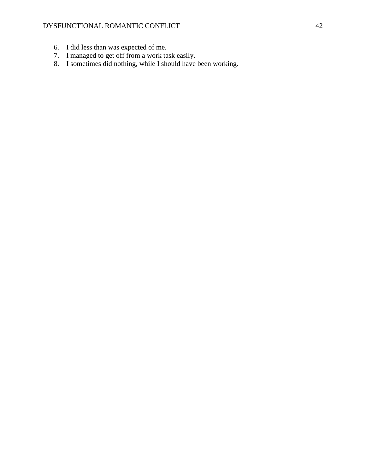### DYSFUNCTIONAL ROMANTIC CONFLICT 42

- 6. I did less than was expected of me.
- 7. I managed to get off from a work task easily.
- 8. I sometimes did nothing, while I should have been working.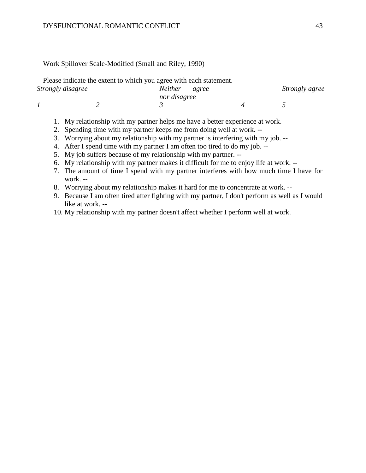#### Work Spillover Scale-Modified (Small and Riley, 1990)

|                   | Please indicate the extent to which you agree with each statement. |  |  |
|-------------------|--------------------------------------------------------------------|--|--|
| Strongly disagree | Neither agree                                                      |  |  |
|                   | nor disagree                                                       |  |  |
|                   |                                                                    |  |  |
|                   |                                                                    |  |  |

- 1. My relationship with my partner helps me have a better experience at work.
- 2. Spending time with my partner keeps me from doing well at work. --
- 3. Worrying about my relationship with my partner is interfering with my job. --
- 4. After I spend time with my partner I am often too tired to do my job. --
- 5. My job suffers because of my relationship with my partner. --
- 6. My relationship with my partner makes it difficult for me to enjoy life at work. --
- 7. The amount of time I spend with my partner interferes with how much time I have for work. --
- 8. Worrying about my relationship makes it hard for me to concentrate at work. --
- 9. Because I am often tired after fighting with my partner, I don't perform as well as I would like at work. --
- 10. My relationship with my partner doesn't affect whether I perform well at work.